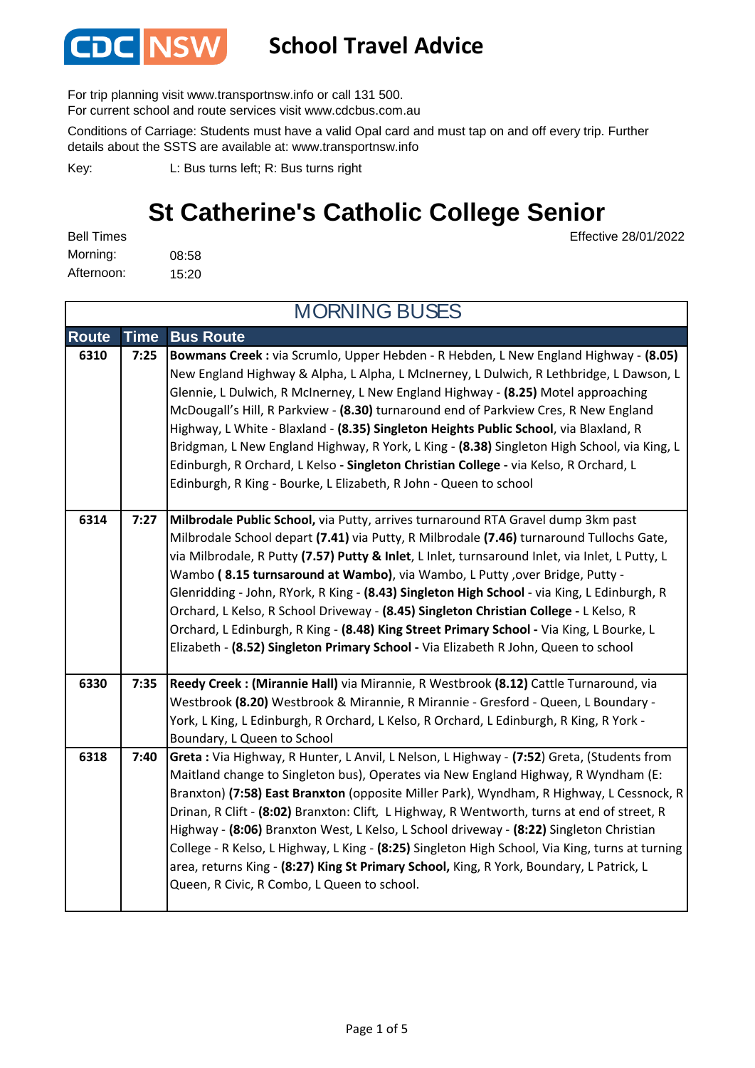

#### **School Travel Advice**

For trip planning visit www.transportnsw.info or call 131 500.

For current school and route services visit www.cdcbus.com.au

Conditions of Carriage: Students must have a valid Opal card and must tap on and off every trip. Further details about the SSTS are available at: www.transportnsw.info

L: Bus turns left; R: Bus turns right Key:

### **St Catherine's Catholic College Senior**

08:58 15:20 Afternoon: Bell Times Morning:

MORNING BUSES

Effective 28/01/2022

| <b>Route</b> | <b>Time</b> | <b>Bus Route</b>                                                                                                                                                                                                                                                                                                                                                                                                                                                                                                                                                                                                                                                                                                                          |
|--------------|-------------|-------------------------------------------------------------------------------------------------------------------------------------------------------------------------------------------------------------------------------------------------------------------------------------------------------------------------------------------------------------------------------------------------------------------------------------------------------------------------------------------------------------------------------------------------------------------------------------------------------------------------------------------------------------------------------------------------------------------------------------------|
| 6310         | 7:25        | Bowmans Creek : via Scrumlo, Upper Hebden - R Hebden, L New England Highway - (8.05)<br>New England Highway & Alpha, L Alpha, L McInerney, L Dulwich, R Lethbridge, L Dawson, L<br>Glennie, L Dulwich, R McInerney, L New England Highway - (8.25) Motel approaching<br>McDougall's Hill, R Parkview - (8.30) turnaround end of Parkview Cres, R New England<br>Highway, L White - Blaxland - (8.35) Singleton Heights Public School, via Blaxland, R<br>Bridgman, L New England Highway, R York, L King - (8.38) Singleton High School, via King, L<br>Edinburgh, R Orchard, L Kelso - Singleton Christian College - via Kelso, R Orchard, L<br>Edinburgh, R King - Bourke, L Elizabeth, R John - Queen to school                        |
| 6314         | 7:27        | Milbrodale Public School, via Putty, arrives turnaround RTA Gravel dump 3km past<br>Milbrodale School depart (7.41) via Putty, R Milbrodale (7.46) turnaround Tullochs Gate,<br>via Milbrodale, R Putty (7.57) Putty & Inlet, L Inlet, turnsaround Inlet, via Inlet, L Putty, L<br>Wambo (8.15 turnsaround at Wambo), via Wambo, L Putty, over Bridge, Putty -<br>Glenridding - John, RYork, R King - (8.43) Singleton High School - via King, L Edinburgh, R<br>Orchard, L Kelso, R School Driveway - (8.45) Singleton Christian College - L Kelso, R<br>Orchard, L Edinburgh, R King - (8.48) King Street Primary School - Via King, L Bourke, L<br>Elizabeth - (8.52) Singleton Primary School - Via Elizabeth R John, Queen to school |
| 6330         | 7:35        | Reedy Creek : (Mirannie Hall) via Mirannie, R Westbrook (8.12) Cattle Turnaround, via<br>Westbrook (8.20) Westbrook & Mirannie, R Mirannie - Gresford - Queen, L Boundary -<br>York, L King, L Edinburgh, R Orchard, L Kelso, R Orchard, L Edinburgh, R King, R York -<br>Boundary, L Queen to School                                                                                                                                                                                                                                                                                                                                                                                                                                     |
| 6318         | 7:40        | Greta : Via Highway, R Hunter, L Anvil, L Nelson, L Highway - (7:52) Greta, (Students from<br>Maitland change to Singleton bus), Operates via New England Highway, R Wyndham (E:<br>Branxton) (7:58) East Branxton (opposite Miller Park), Wyndham, R Highway, L Cessnock, R<br>Drinan, R Clift - (8:02) Branxton: Clift, L Highway, R Wentworth, turns at end of street, R<br>Highway - (8:06) Branxton West, L Kelso, L School driveway - (8:22) Singleton Christian<br>College - R Kelso, L Highway, L King - (8:25) Singleton High School, Via King, turns at turning<br>area, returns King - (8:27) King St Primary School, King, R York, Boundary, L Patrick, L<br>Queen, R Civic, R Combo, L Queen to school.                      |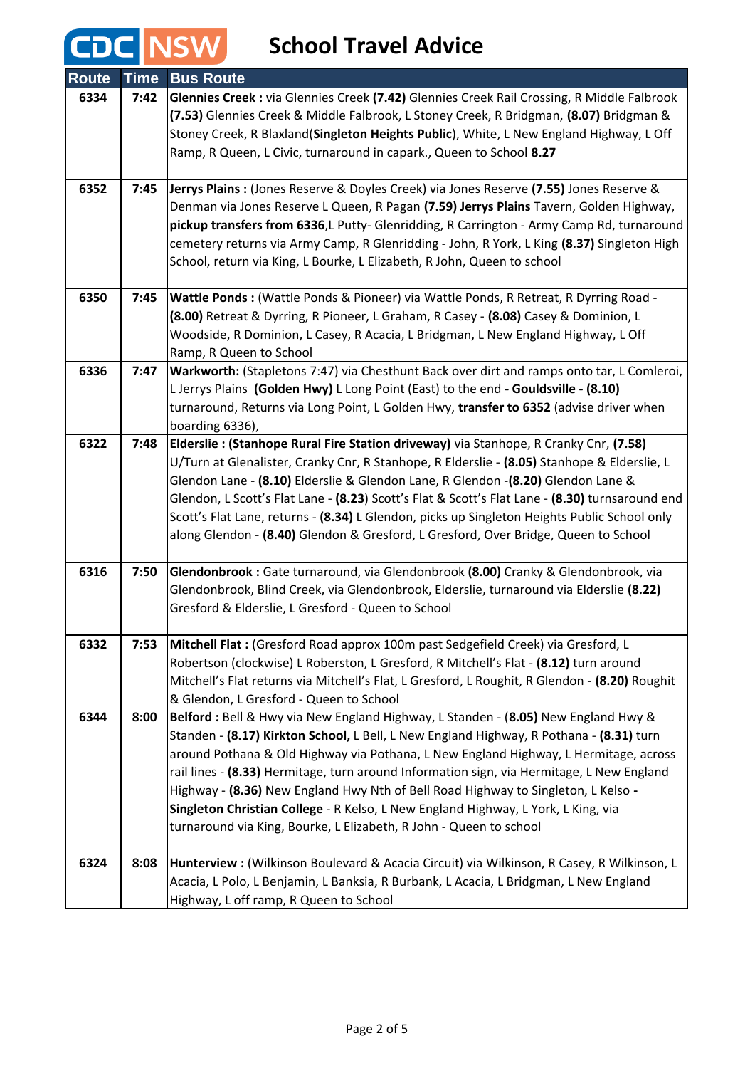# **CDC** NSW School Travel Advice

| <b>Route</b> | <b>Time</b> | <b>Bus Route</b>                                                                                                              |
|--------------|-------------|-------------------------------------------------------------------------------------------------------------------------------|
| 6334         | 7:42        | Glennies Creek : via Glennies Creek (7.42) Glennies Creek Rail Crossing, R Middle Falbrook                                    |
|              |             | (7.53) Glennies Creek & Middle Falbrook, L Stoney Creek, R Bridgman, (8.07) Bridgman &                                        |
|              |             | Stoney Creek, R Blaxland(Singleton Heights Public), White, L New England Highway, L Off                                       |
|              |             | Ramp, R Queen, L Civic, turnaround in capark., Queen to School 8.27                                                           |
|              |             |                                                                                                                               |
| 6352         | 7:45        | Jerrys Plains : (Jones Reserve & Doyles Creek) via Jones Reserve (7.55) Jones Reserve &                                       |
|              |             | Denman via Jones Reserve L Queen, R Pagan (7.59) Jerrys Plains Tavern, Golden Highway,                                        |
|              |             | pickup transfers from 6336, L Putty- Glenridding, R Carrington - Army Camp Rd, turnaround                                     |
|              |             | cemetery returns via Army Camp, R Glenridding - John, R York, L King (8.37) Singleton High                                    |
|              |             | School, return via King, L Bourke, L Elizabeth, R John, Queen to school                                                       |
| 6350         | 7:45        | Wattle Ponds : (Wattle Ponds & Pioneer) via Wattle Ponds, R Retreat, R Dyrring Road -                                         |
|              |             | (8.00) Retreat & Dyrring, R Pioneer, L Graham, R Casey - (8.08) Casey & Dominion, L                                           |
|              |             | Woodside, R Dominion, L Casey, R Acacia, L Bridgman, L New England Highway, L Off                                             |
|              |             | Ramp, R Queen to School                                                                                                       |
| 6336         | 7:47        | Warkworth: (Stapletons 7:47) via Chesthunt Back over dirt and ramps onto tar, L Comleroi,                                     |
|              |             | L Jerrys Plains (Golden Hwy) L Long Point (East) to the end - Gouldsville - (8.10)                                            |
|              |             | turnaround, Returns via Long Point, L Golden Hwy, transfer to 6352 (advise driver when                                        |
|              |             | boarding 6336),                                                                                                               |
| 6322         | 7:48        | Elderslie: (Stanhope Rural Fire Station driveway) via Stanhope, R Cranky Cnr, (7.58)                                          |
|              |             | U/Turn at Glenalister, Cranky Cnr, R Stanhope, R Elderslie - (8.05) Stanhope & Elderslie, L                                   |
|              |             | Glendon Lane - (8.10) Elderslie & Glendon Lane, R Glendon -(8.20) Glendon Lane &                                              |
|              |             | Glendon, L Scott's Flat Lane - (8.23) Scott's Flat & Scott's Flat Lane - (8.30) turnsaround end                               |
|              |             | Scott's Flat Lane, returns - (8.34) L Glendon, picks up Singleton Heights Public School only                                  |
|              |             | along Glendon - (8.40) Glendon & Gresford, L Gresford, Over Bridge, Queen to School                                           |
| 6316         | 7:50        | Glendonbrook : Gate turnaround, via Glendonbrook (8.00) Cranky & Glendonbrook, via                                            |
|              |             | Glendonbrook, Blind Creek, via Glendonbrook, Elderslie, turnaround via Elderslie (8.22)                                       |
|              |             | Gresford & Elderslie, L Gresford - Queen to School                                                                            |
|              |             |                                                                                                                               |
| 6332         | 7:53        | Mitchell Flat : (Gresford Road approx 100m past Sedgefield Creek) via Gresford, L                                             |
|              |             | Robertson (clockwise) L Roberston, L Gresford, R Mitchell's Flat - (8.12) turn around                                         |
|              |             | Mitchell's Flat returns via Mitchell's Flat, L Gresford, L Roughit, R Glendon - (8.20) Roughit                                |
| 6344         | 8:00        | & Glendon, L Gresford - Queen to School<br>Belford : Bell & Hwy via New England Highway, L Standen - (8.05) New England Hwy & |
|              |             | Standen - (8.17) Kirkton School, L Bell, L New England Highway, R Pothana - (8.31) turn                                       |
|              |             | around Pothana & Old Highway via Pothana, L New England Highway, L Hermitage, across                                          |
|              |             | rail lines - (8.33) Hermitage, turn around Information sign, via Hermitage, L New England                                     |
|              |             | Highway - (8.36) New England Hwy Nth of Bell Road Highway to Singleton, L Kelso -                                             |
|              |             | Singleton Christian College - R Kelso, L New England Highway, L York, L King, via                                             |
|              |             | turnaround via King, Bourke, L Elizabeth, R John - Queen to school                                                            |
|              |             |                                                                                                                               |
| 6324         | 8:08        | Hunterview : (Wilkinson Boulevard & Acacia Circuit) via Wilkinson, R Casey, R Wilkinson, L                                    |
|              |             | Acacia, L Polo, L Benjamin, L Banksia, R Burbank, L Acacia, L Bridgman, L New England                                         |
|              |             | Highway, L off ramp, R Queen to School                                                                                        |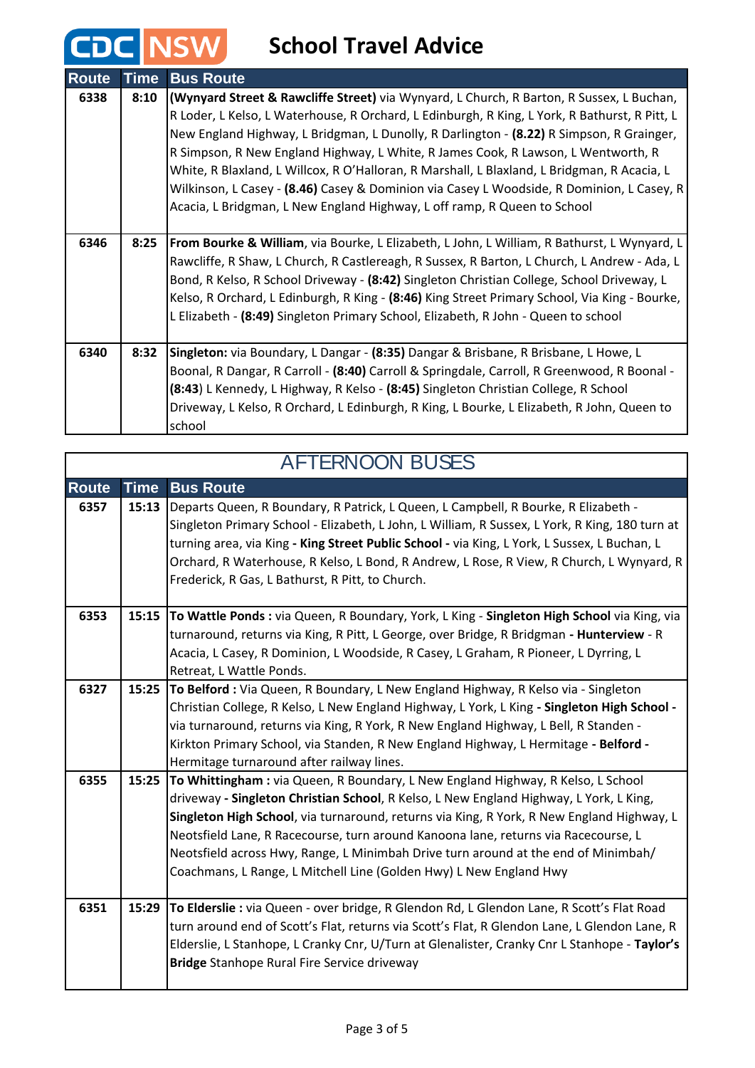## **School Travel Advice**

CDC NSW

| <b>Route</b> | <b>Time</b> | <b>Bus Route</b>                                                                              |
|--------------|-------------|-----------------------------------------------------------------------------------------------|
| 6338         | 8:10        | (Wynyard Street & Rawcliffe Street) via Wynyard, L Church, R Barton, R Sussex, L Buchan,      |
|              |             | R Loder, L Kelso, L Waterhouse, R Orchard, L Edinburgh, R King, L York, R Bathurst, R Pitt, L |
|              |             | New England Highway, L Bridgman, L Dunolly, R Darlington - (8.22) R Simpson, R Grainger,      |
|              |             | R Simpson, R New England Highway, L White, R James Cook, R Lawson, L Wentworth, R             |
|              |             | White, R Blaxland, L Willcox, R O'Halloran, R Marshall, L Blaxland, L Bridgman, R Acacia, L   |
|              |             | Wilkinson, L Casey - (8.46) Casey & Dominion via Casey L Woodside, R Dominion, L Casey, R     |
|              |             | Acacia, L Bridgman, L New England Highway, L off ramp, R Queen to School                      |
|              |             |                                                                                               |
| 6346         | 8:25        | From Bourke & William, via Bourke, L Elizabeth, L John, L William, R Bathurst, L Wynyard, L   |
|              |             | Rawcliffe, R Shaw, L Church, R Castlereagh, R Sussex, R Barton, L Church, L Andrew - Ada, L   |
|              |             | Bond, R Kelso, R School Driveway - (8:42) Singleton Christian College, School Driveway, L     |
|              |             | Kelso, R Orchard, L Edinburgh, R King - (8:46) King Street Primary School, Via King - Bourke, |
|              |             | L Elizabeth - (8:49) Singleton Primary School, Elizabeth, R John - Queen to school            |
|              |             |                                                                                               |
| 6340         | 8:32        | Singleton: via Boundary, L Dangar - (8:35) Dangar & Brisbane, R Brisbane, L Howe, L           |
|              |             | Boonal, R Dangar, R Carroll - (8:40) Carroll & Springdale, Carroll, R Greenwood, R Boonal -   |
|              |             | (8:43) L Kennedy, L Highway, R Kelso - (8:45) Singleton Christian College, R School           |
|              |             | Driveway, L Kelso, R Orchard, L Edinburgh, R King, L Bourke, L Elizabeth, R John, Queen to    |
|              |             | school                                                                                        |

|              | <b>AFTERNOON BUSES</b> |                                                                                                                                                                                                                                                                                                                                                                                                                                                                                                                          |  |
|--------------|------------------------|--------------------------------------------------------------------------------------------------------------------------------------------------------------------------------------------------------------------------------------------------------------------------------------------------------------------------------------------------------------------------------------------------------------------------------------------------------------------------------------------------------------------------|--|
| <b>Route</b> | <b>Time</b>            | <b>Bus Route</b>                                                                                                                                                                                                                                                                                                                                                                                                                                                                                                         |  |
| 6357         | 15:13                  | Departs Queen, R Boundary, R Patrick, L Queen, L Campbell, R Bourke, R Elizabeth -<br>Singleton Primary School - Elizabeth, L John, L William, R Sussex, L York, R King, 180 turn at<br>turning area, via King - King Street Public School - via King, L York, L Sussex, L Buchan, L<br>Orchard, R Waterhouse, R Kelso, L Bond, R Andrew, L Rose, R View, R Church, L Wynyard, R<br>Frederick, R Gas, L Bathurst, R Pitt, to Church.                                                                                     |  |
| 6353         | 15:15                  | To Wattle Ponds: via Queen, R Boundary, York, L King - Singleton High School via King, via<br>turnaround, returns via King, R Pitt, L George, over Bridge, R Bridgman - Hunterview - R<br>Acacia, L Casey, R Dominion, L Woodside, R Casey, L Graham, R Pioneer, L Dyrring, L<br>Retreat, L Wattle Ponds.                                                                                                                                                                                                                |  |
| 6327         |                        | 15:25 To Belford : Via Queen, R Boundary, L New England Highway, R Kelso via - Singleton<br>Christian College, R Kelso, L New England Highway, L York, L King - Singleton High School -<br>via turnaround, returns via King, R York, R New England Highway, L Bell, R Standen -<br>Kirkton Primary School, via Standen, R New England Highway, L Hermitage - Belford -<br>Hermitage turnaround after railway lines.                                                                                                      |  |
| 6355         | 15:25                  | To Whittingham: via Queen, R Boundary, L New England Highway, R Kelso, L School<br>driveway - Singleton Christian School, R Kelso, L New England Highway, L York, L King,<br>Singleton High School, via turnaround, returns via King, R York, R New England Highway, L<br>Neotsfield Lane, R Racecourse, turn around Kanoona lane, returns via Racecourse, L<br>Neotsfield across Hwy, Range, L Minimbah Drive turn around at the end of Minimbah/<br>Coachmans, L Range, L Mitchell Line (Golden Hwy) L New England Hwy |  |
| 6351         | 15:29                  | To Elderslie : via Queen - over bridge, R Glendon Rd, L Glendon Lane, R Scott's Flat Road<br>turn around end of Scott's Flat, returns via Scott's Flat, R Glendon Lane, L Glendon Lane, R<br>Elderslie, L Stanhope, L Cranky Cnr, U/Turn at Glenalister, Cranky Cnr L Stanhope - Taylor's<br><b>Bridge</b> Stanhope Rural Fire Service driveway                                                                                                                                                                          |  |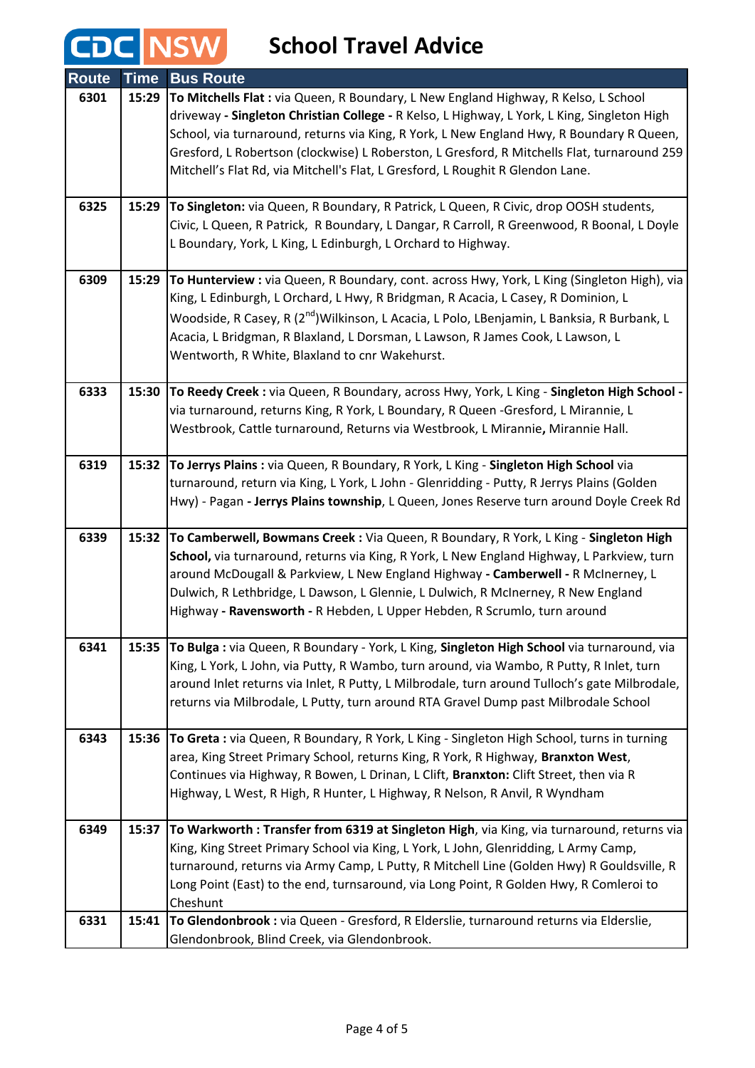# **CDC** NSW School Travel Advice

| <b>Route</b> | <b>Time</b> | <b>Bus Route</b>                                                                                                                                                                         |
|--------------|-------------|------------------------------------------------------------------------------------------------------------------------------------------------------------------------------------------|
| 6301         | 15:29       | To Mitchells Flat : via Queen, R Boundary, L New England Highway, R Kelso, L School                                                                                                      |
|              |             | driveway - Singleton Christian College - R Kelso, L Highway, L York, L King, Singleton High                                                                                              |
|              |             | School, via turnaround, returns via King, R York, L New England Hwy, R Boundary R Queen,                                                                                                 |
|              |             | Gresford, L Robertson (clockwise) L Roberston, L Gresford, R Mitchells Flat, turnaround 259                                                                                              |
|              |             | Mitchell's Flat Rd, via Mitchell's Flat, L Gresford, L Roughit R Glendon Lane.                                                                                                           |
|              |             |                                                                                                                                                                                          |
| 6325         | 15:29       | To Singleton: via Queen, R Boundary, R Patrick, L Queen, R Civic, drop OOSH students,                                                                                                    |
|              |             | Civic, L Queen, R Patrick, R Boundary, L Dangar, R Carroll, R Greenwood, R Boonal, L Doyle<br>L Boundary, York, L King, L Edinburgh, L Orchard to Highway.                               |
|              |             |                                                                                                                                                                                          |
| 6309         | 15:29       | To Hunterview : via Queen, R Boundary, cont. across Hwy, York, L King (Singleton High), via                                                                                              |
|              |             | King, L Edinburgh, L Orchard, L Hwy, R Bridgman, R Acacia, L Casey, R Dominion, L                                                                                                        |
|              |             | Woodside, R Casey, R (2 <sup>nd</sup> )Wilkinson, L Acacia, L Polo, LBenjamin, L Banksia, R Burbank, L                                                                                   |
|              |             | Acacia, L Bridgman, R Blaxland, L Dorsman, L Lawson, R James Cook, L Lawson, L                                                                                                           |
|              |             | Wentworth, R White, Blaxland to cnr Wakehurst.                                                                                                                                           |
|              |             |                                                                                                                                                                                          |
| 6333         | 15:30       | To Reedy Creek: via Queen, R Boundary, across Hwy, York, L King - Singleton High School -                                                                                                |
|              |             | via turnaround, returns King, R York, L Boundary, R Queen -Gresford, L Mirannie, L                                                                                                       |
|              |             | Westbrook, Cattle turnaround, Returns via Westbrook, L Mirannie, Mirannie Hall.                                                                                                          |
|              |             |                                                                                                                                                                                          |
| 6319         |             | 15:32 To Jerrys Plains : via Queen, R Boundary, R York, L King - Singleton High School via<br>turnaround, return via King, L York, L John - Glenridding - Putty, R Jerrys Plains (Golden |
|              |             | Hwy) - Pagan - Jerrys Plains township, L Queen, Jones Reserve turn around Doyle Creek Rd                                                                                                 |
|              |             |                                                                                                                                                                                          |
| 6339         | 15:32       | To Camberwell, Bowmans Creek: Via Queen, R Boundary, R York, L King - Singleton High                                                                                                     |
|              |             | School, via turnaround, returns via King, R York, L New England Highway, L Parkview, turn                                                                                                |
|              |             | around McDougall & Parkview, L New England Highway - Camberwell - R McInerney, L                                                                                                         |
|              |             | Dulwich, R Lethbridge, L Dawson, L Glennie, L Dulwich, R McInerney, R New England                                                                                                        |
|              |             | Highway - Ravensworth - R Hebden, L Upper Hebden, R Scrumlo, turn around                                                                                                                 |
| 6341         | 15:35       | To Bulga : via Queen, R Boundary - York, L King, Singleton High School via turnaround, via                                                                                               |
|              |             | King, L York, L John, via Putty, R Wambo, turn around, via Wambo, R Putty, R Inlet, turn                                                                                                 |
|              |             | around Inlet returns via Inlet, R Putty, L Milbrodale, turn around Tulloch's gate Milbrodale,                                                                                            |
|              |             | returns via Milbrodale, L Putty, turn around RTA Gravel Dump past Milbrodale School                                                                                                      |
|              |             |                                                                                                                                                                                          |
| 6343         | 15:36       | To Greta: via Queen, R Boundary, R York, L King - Singleton High School, turns in turning                                                                                                |
|              |             | area, King Street Primary School, returns King, R York, R Highway, Branxton West,                                                                                                        |
|              |             | Continues via Highway, R Bowen, L Drinan, L Clift, Branxton: Clift Street, then via R                                                                                                    |
|              |             | Highway, L West, R High, R Hunter, L Highway, R Nelson, R Anvil, R Wyndham                                                                                                               |
| 6349         | 15:37       | To Warkworth: Transfer from 6319 at Singleton High, via King, via turnaround, returns via                                                                                                |
|              |             | King, King Street Primary School via King, L York, L John, Glenridding, L Army Camp,                                                                                                     |
|              |             | turnaround, returns via Army Camp, L Putty, R Mitchell Line (Golden Hwy) R Gouldsville, R                                                                                                |
|              |             | Long Point (East) to the end, turnsaround, via Long Point, R Golden Hwy, R Comleroi to                                                                                                   |
|              |             | Cheshunt                                                                                                                                                                                 |
| 6331         | 15:41       | To Glendonbrook : via Queen - Gresford, R Elderslie, turnaround returns via Elderslie,                                                                                                   |
|              |             | Glendonbrook, Blind Creek, via Glendonbrook.                                                                                                                                             |